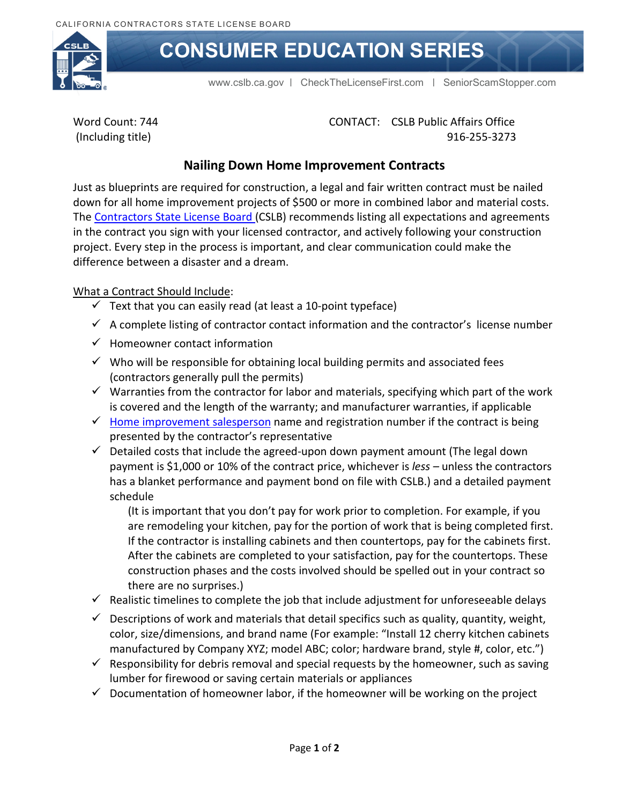

# **CONSUMER EDUCATION SERIES**

[www.cslb.ca.gov](http://www.cslb.ca.gov/) | [CheckTheLicenseFirst.com](http://www.CheckTheLicenseFirst.com) | [SeniorScamStopper.com](http://www.SeniorScamStopper.com)

Word Count: 744 (Including title)

 CONTACT: CSLB Public Affairs Office 916-255-3273

## **Nailing Down Home Improvement Contracts**

Just as blueprints are required for construction, a legal and fair written contract must be nailed down for all home improvement projects of \$500 or more in combined labor and material costs. The [Contractors State License Board](http://www.cslb.ca.gov/) (CSLB) recommends listing all expectations and agreements in the contract you sign with your licensed contractor, and actively following your construction project. Every step in the process is important, and clear communication could make the difference between a disaster and a dream.

#### What a Contract Should Include:

- $\checkmark$  Text that you can easily read (at least a 10-point typeface)
- $\checkmark$  A complete listing of contractor contact information and the contractor's license number
- $\checkmark$  Homeowner contact information
- $\checkmark$  Who will be responsible for obtaining local building permits and associated fees (contractors generally pull the permits)
- $\checkmark$  Warranties from the contractor for labor and materials, specifying which part of the work is covered and the length of the warranty; and manufacturer warranties, if applicable
- $\checkmark$  [Home improvement salesperson](http://www.cslb.ca.gov/Contractors/Applicants/Home_Improvement_Registration/Before_Applying_For_HIS.aspx) name and registration number if the contract is being presented by the contractor's representative
- $\checkmark$  Detailed costs that include the agreed-upon down payment amount (The legal down payment is \$1,000 or 10% of the contract price, whichever is *less –* unless the contractors has a blanket performance and payment bond on file with CSLB.) and a detailed payment schedule

(It is important that you don't pay for work prior to completion. For example, if you are remodeling your kitchen, pay for the portion of work that is being completed first. If the contractor is installing cabinets and then countertops, pay for the cabinets first. After the cabinets are completed to your satisfaction, pay for the countertops. These construction phases and the costs involved should be spelled out in your contract so there are no surprises.)

- $\checkmark$  Realistic timelines to complete the job that include adjustment for unforeseeable delays
- $\checkmark$  Descriptions of work and materials that detail specifics such as quality, quantity, weight, color, size/dimensions, and brand name (For example: "Install 12 cherry kitchen cabinets manufactured by Company XYZ; model ABC; color; hardware brand, style #, color, etc.")
- $\checkmark$  Responsibility for debris removal and special requests by the homeowner, such as saving lumber for firewood or saving certain materials or appliances
- $\checkmark$  Documentation of homeowner labor, if the homeowner will be working on the project